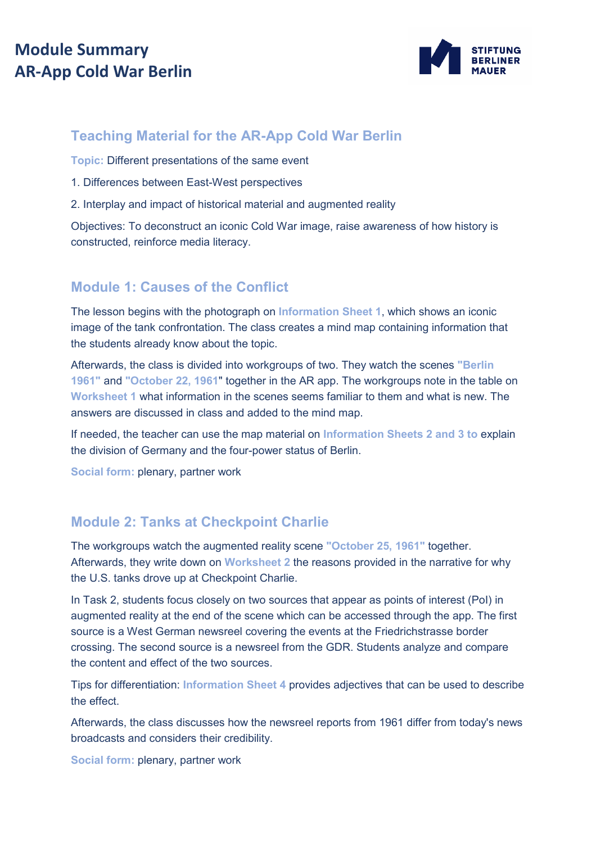## **Module Summary AR-App Cold War Berlin**



### **Teaching Material for the AR-App Cold War Berlin**

**Topic:** Different presentations of the same event

- 1. Differences between East-West perspectives
- 2. Interplay and impact of historical material and augmented reality

Objectives: To deconstruct an iconic Cold War image, raise awareness of how history is constructed, reinforce media literacy.

#### **Module 1: Causes of the Conflict**

The lesson begins with the photograph on **Information Sheet 1**, which shows an iconic image of the tank confrontation. The class creates a mind map containing information that the students already know about the topic.

Afterwards, the class is divided into workgroups of two. They watch the scenes **"Berlin 1961"** and **"October 22, 1961**" together in the AR app. The workgroups note in the table on **Worksheet 1** what information in the scenes seems familiar to them and what is new. The answers are discussed in class and added to the mind map.

If needed, the teacher can use the map material on **Information Sheets 2 and 3 to** explain the division of Germany and the four-power status of Berlin.

**Social form:** plenary, partner work

#### **Module 2: Tanks at Checkpoint Charlie**

The workgroups watch the augmented reality scene **"October 25, 1961"** together. Afterwards, they write down on **Worksheet 2** the reasons provided in the narrative for why the U.S. tanks drove up at Checkpoint Charlie.

In Task 2, students focus closely on two sources that appear as points of interest (PoI) in augmented reality at the end of the scene which can be accessed through the app. The first source is a West German newsreel covering the events at the Friedrichstrasse border crossing. The second source is a newsreel from the GDR. Students analyze and compare the content and effect of the two sources.

Tips for differentiation: **Information Sheet 4** provides adjectives that can be used to describe the effect.

Afterwards, the class discusses how the newsreel reports from 1961 differ from today's news broadcasts and considers their credibility.

**Social form:** plenary, partner work